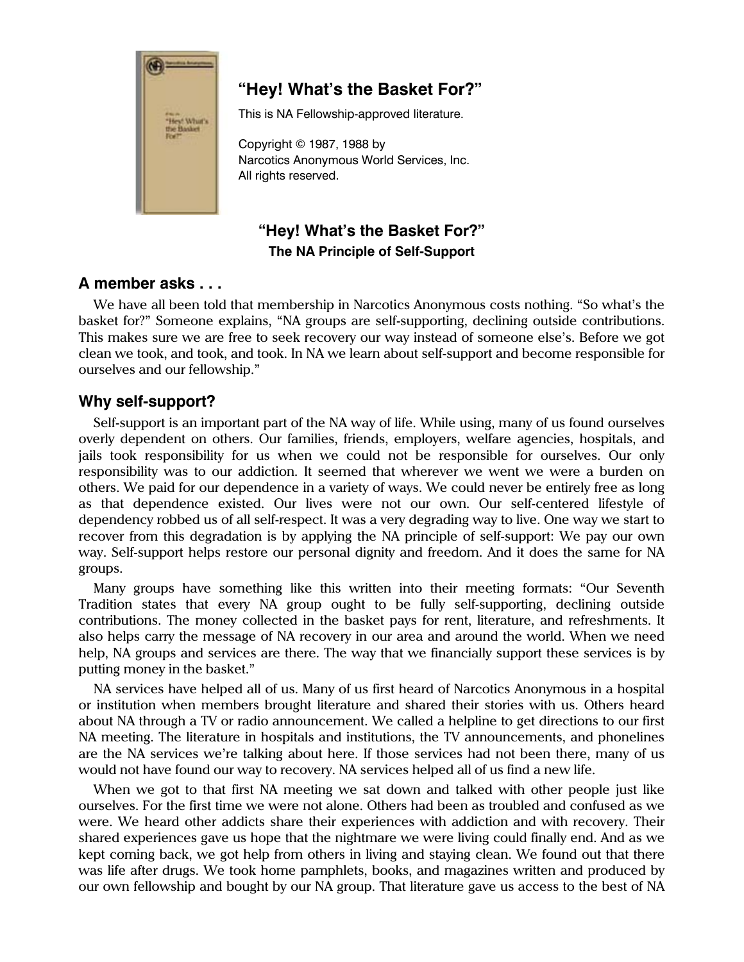

# **"Hey! What's the Basket For?"**

This is NA Fellowship-approved literature.

Copyright © 1987, 1988 by Narcotics Anonymous World Services, Inc. All rights reserved.

## **"Hey! What's the Basket For?" The NA Principle of Self-Support**

### **A member asks . . .**

We have all been told that membership in Narcotics Anonymous costs nothing. "So what's the basket for?" Someone explains, "NA groups are self-supporting, declining outside contributions. This makes sure we are free to seek recovery our way instead of someone else's. Before we got clean we took, and took, and took. In NA we learn about self-support and become responsible for ourselves and our fellowship."

### **Why self-support?**

Self-support is an important part of the NA way of life. While using, many of us found ourselves overly dependent on others. Our families, friends, employers, welfare agencies, hospitals, and jails took responsibility for us when we could not be responsible for ourselves. Our only responsibility was to our addiction. It seemed that wherever we went we were a burden on others. We paid for our dependence in a variety of ways. We could never be entirely free as long as that dependence existed. Our lives were not our own. Our self-centered lifestyle of dependency robbed us of all self-respect. It was a very degrading way to live. One way we start to recover from this degradation is by applying the NA principle of self-support: We pay our own way. Self-support helps restore our personal dignity and freedom. And it does the same for NA groups.

Many groups have something like this written into their meeting formats: "Our Seventh Tradition states that every NA group ought to be fully self-supporting, declining outside contributions. The money collected in the basket pays for rent, literature, and refreshments. It also helps carry the message of NA recovery in our area and around the world. When we need help, NA groups and services are there. The way that we financially support these services is by putting money in the basket."

NA services have helped all of us. Many of us first heard of Narcotics Anonymous in a hospital or institution when members brought literature and shared their stories with us. Others heard about NA through a TV or radio announcement. We called a helpline to get directions to our first NA meeting. The literature in hospitals and institutions, the TV announcements, and phonelines are the NA services we're talking about here. If those services had not been there, many of us would not have found our way to recovery. NA services helped all of us find a new life.

When we got to that first NA meeting we sat down and talked with other people just like ourselves. For the first time we were not alone. Others had been as troubled and confused as we were. We heard other addicts share their experiences with addiction and with recovery. Their shared experiences gave us hope that the nightmare we were living could finally end. And as we kept coming back, we got help from others in living and staying clean. We found out that there was life after drugs. We took home pamphlets, books, and magazines written and produced by our own fellowship and bought by our NA group. That literature gave us access to the best of NA